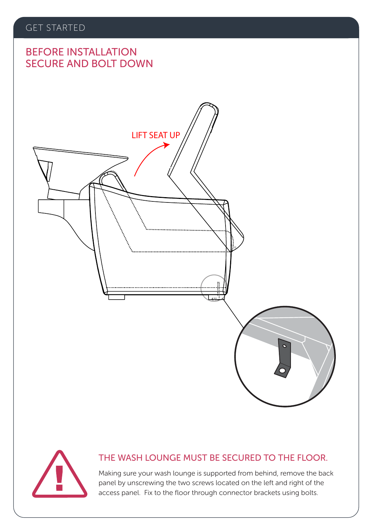# SECURE AND BOLT DOWN BEFORE INSTALLATION

# LIFT SEAT UP



### THE WASH LOUNGE MUST BE SECURED TO THE FLOOR.

Making sure your wash lounge is supported from behind, remove the back panel by unscrewing the two screws located on the left and right of the access panel. Fix to the floor through connector brackets using bolts.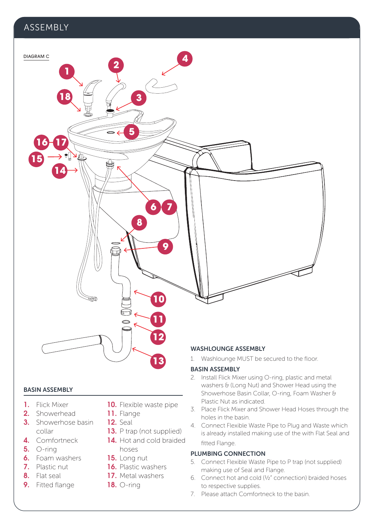### ASSEMBLY



### BASIN ASSEMBLY

- 1. Flick Mixer
- 2. Showerhead
- **3.** Showerhose basin collar
- 4. Comfortneck
- 5. O-ring
- 6. Foam washers
- 7. Plastic nut
- 8. Flat seal
- 9. Fitted flange
- 10. Flexible waste pipe
- 11. Flange
- **12.** Seal
- 13. P trap (not supplied)
- 14. Hot and cold braided hoses
- 15. Long nut
- 16. Plastic washers
- 17. Metal washers
- 18. O-ring

### BASIN ASSEMBLY

- 2. Install Flick Mixer using O-ring, plastic and metal washers & (Long Nut) and Shower Head using the Showerhose Basin Collar, O-ring, Foam Washer & Plastic Nut as indicated.
- 3. Place Flick Mixer and Shower Head Hoses through the holes in the basin.
- 4. Connect Flexible Waste Pipe to Plug and Waste which is already installed making use of the with Flat Seal and fitted Flange.

### PLUMBING CONNECTION

- 5. Connect Flexible Waste Pipe to P trap (not supplied) making use of Seal and Flange.
- 6. Connect hot and cold (½" connection) braided hoses to respective supplies.
- 7. Please attach Comfortneck to the basin.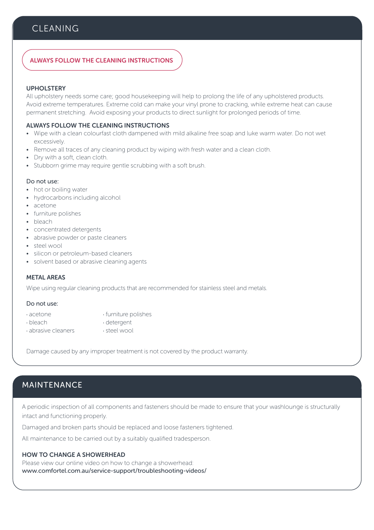### **CLEANING**

### ALWAYS FOLLOW THE CLEANING INSTRUCTIONS

### UPHOLSTERY

All upholstery needs some care; good housekeeping will help to prolong the life of any upholstered products. Avoid extreme temperatures. Extreme cold can make your vinyl prone to cracking, while extreme heat can cause permanent stretching. Avoid exposing your products to direct sunlight for prolonged periods of time.

### ALWAYS FOLLOW THE CLEANING INSTRUCTIONS

- Wipe with a clean colourfast cloth dampened with mild alkaline free soap and luke warm water. Do not wet excessively.
- Remove all traces of any cleaning product by wiping with fresh water and a clean cloth.
- Dry with a soft, clean cloth.
- Stubborn grime may require gentle scrubbing with a soft brush.

### Do not use:

- hot or boiling water
- hydrocarbons including alcohol
- acetone
- furniture polishes
- bleach
- concentrated detergents
- abrasive powder or paste cleaners
- steel wool
- silicon or petroleum-based cleaners
- solvent based or abrasive cleaning agents

### METAL AREAS

Wipe using regular cleaning products that are recommended for stainless steel and metals.

### Do not use:

- · acetone · furniture polishes
	-
- · bleach · detergent  $\cdot$  abrasive cleaners
	-

Damage caused by any improper treatment is not covered by the product warranty.

### MAINTENANCE

A periodic inspection of all components and fasteners should be made to ensure that your washlounge is structurally intact and functioning properly.

Damaged and broken parts should be replaced and loose fasteners tightened.

All maintenance to be carried out by a suitably qualified tradesperson.

### HOW TO CHANGE A SHOWERHEAD

Please view our online video on how to change a showerhead: www.comfortel.com.au/service-support/troubleshooting-videos/